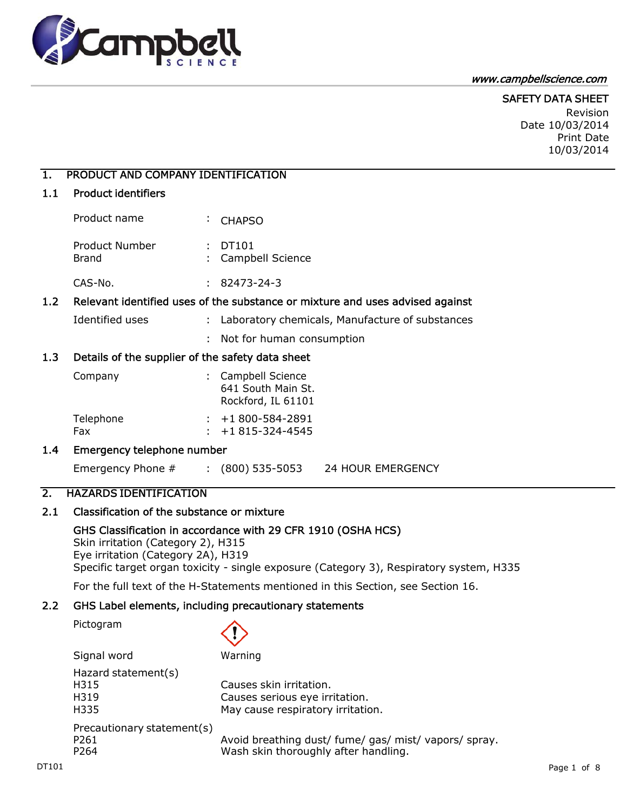

#### www.campbellscience.com

#### SAFETY DATA SHEET Revision Date 10/03/2014

Print Date 10/03/2014

# 1. PRODUCT AND COMPANY IDENTIFICATION

## 1.1 Product identifiers

| Product name            | $\div$ CHAPSO                 |
|-------------------------|-------------------------------|
| Product Number<br>Brand | : DT101<br>: Campbell Science |

CAS-No. : 82473-24-3

## 1.2 Relevant identified uses of the substance or mixture and uses advised against

- Identified uses : Laboratory chemicals, Manufacture of substances
	- : Not for human consumption

## 1.3 Details of the supplier of the safety data sheet

| Company          | : Campbell Science<br>641 South Main St.<br>Rockford, IL 61101 |
|------------------|----------------------------------------------------------------|
| Telephone<br>Fax | $: +1800 - 584 - 2891$<br>$: +1815-324-4545$                   |

### 1.4 Emergency telephone number

Emergency Phone # : (800) 535-5053 24 HOUR EMERGENCY

## 2. HAZARDS IDENTIFICATION

# 2.1 Classification of the substance or mixture

GHS Classification in accordance with 29 CFR 1910 (OSHA HCS) Skin irritation (Category 2), H315 Eye irritation (Category 2A), H319 Specific target organ toxicity - single exposure (Category 3), Respiratory system, H335

For the full text of the H-Statements mentioned in this Section, see Section 16.

# 2.2 GHS Label elements, including precautionary statements

Pictogram

|       | Signal word                | Warning                                               |             |
|-------|----------------------------|-------------------------------------------------------|-------------|
|       | Hazard statement(s)        |                                                       |             |
|       | H315                       | Causes skin irritation.                               |             |
|       | H319                       | Causes serious eye irritation.                        |             |
|       | H335                       | May cause respiratory irritation.                     |             |
|       | Precautionary statement(s) |                                                       |             |
|       | P <sub>261</sub>           | Avoid breathing dust/ fume/ gas/ mist/ vapors/ spray. |             |
|       | P <sub>264</sub>           | Wash skin thoroughly after handling.                  |             |
| DT101 |                            |                                                       | Page 1 of 8 |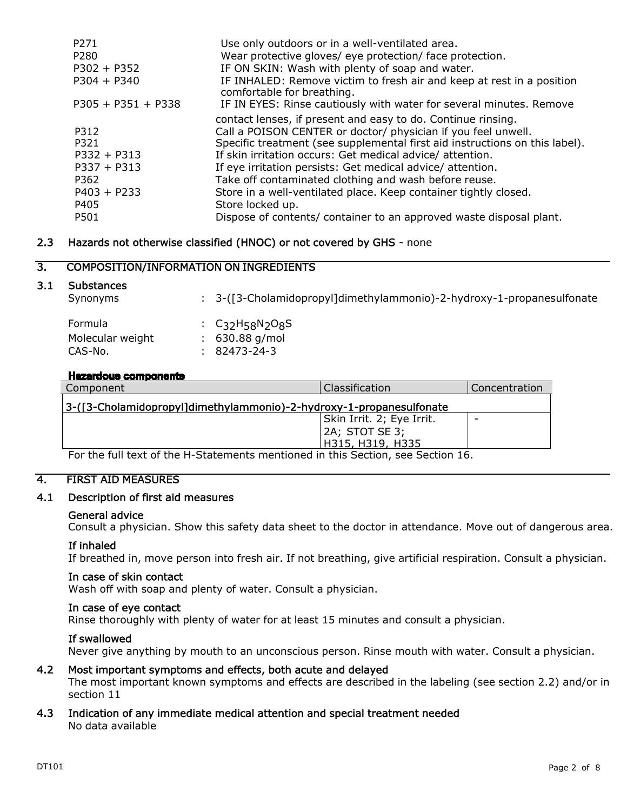| P <sub>271</sub><br>P280 | Use only outdoors or in a well-ventilated area.<br>Wear protective gloves/ eye protection/ face protection. |
|--------------------------|-------------------------------------------------------------------------------------------------------------|
| $P302 + P352$            | IF ON SKIN: Wash with plenty of soap and water.                                                             |
| $P304 + P340$            | IF INHALED: Remove victim to fresh air and keep at rest in a position<br>comfortable for breathing.         |
| $P305 + P351 + P338$     | IF IN EYES: Rinse cautiously with water for several minutes. Remove                                         |
|                          | contact lenses, if present and easy to do. Continue rinsing.                                                |
| P312                     | Call a POISON CENTER or doctor/ physician if you feel unwell.                                               |
| P321                     | Specific treatment (see supplemental first aid instructions on this label).                                 |
| $P332 + P313$            | If skin irritation occurs: Get medical advice/ attention.                                                   |
| $P337 + P313$            | If eye irritation persists: Get medical advice/attention.                                                   |
| P362                     | Take off contaminated clothing and wash before reuse.                                                       |
| $P403 + P233$            | Store in a well-ventilated place. Keep container tightly closed.                                            |
| P405                     | Store locked up.                                                                                            |
| P501                     | Dispose of contents/ container to an approved waste disposal plant.                                         |

# 2.3 Hazards not otherwise classified (HNOC) or not covered by GHS - none

# 3. COMPOSITION/INFORMATION ON INGREDIENTS

### 3.1 Substances

| Synonyms                                      | : 3-([3-Cholamidopropyl]dimethylammonio)-2-hydroxy-1-propanesulfonate                                  |
|-----------------------------------------------|--------------------------------------------------------------------------------------------------------|
| <b>Formula</b><br>Molecular weight<br>CAS-No. | : $C_3$ <sub>2</sub> H <sub>58</sub> N <sub>2</sub> O <sub>8</sub> S<br>$: 630.88$ g/mol<br>82473-24-3 |

#### **Hazardous components**

| Component                                                                      | <b>Classification</b>     | Concentration |  |
|--------------------------------------------------------------------------------|---------------------------|---------------|--|
| 3-([3-Cholamidopropyl]dimethylammonio)-2-hydroxy-1-propanesulfonate            |                           |               |  |
|                                                                                | Skin Irrit. 2; Eye Irrit. |               |  |
|                                                                                | 2A; STOT SE 3;            |               |  |
|                                                                                | H315, H319, H335          |               |  |
| For the full text of the H-Statements mentioned in this Section see Section 16 |                           |               |  |

full text of the H-

## 4. FIRST AID MEASURES

## 4.1 Description of first aid measures

### General advice

Consult a physician. Show this safety data sheet to the doctor in attendance. Move out of dangerous area.

### If inhaled

If breathed in, move person into fresh air. If not breathing, give artificial respiration. Consult a physician.

#### In case of skin contact

Wash off with soap and plenty of water. Consult a physician.

#### In case of eye contact

Rinse thoroughly with plenty of water for at least 15 minutes and consult a physician.

#### If swallowed

Never give anything by mouth to an unconscious person. Rinse mouth with water. Consult a physician.

## 4.2 Most important symptoms and effects, both acute and delayed

The most important known symptoms and effects are described in the labeling (see section 2.2) and/or in section 11

#### 4.3 Indication of any immediate medical attention and special treatment needed No data available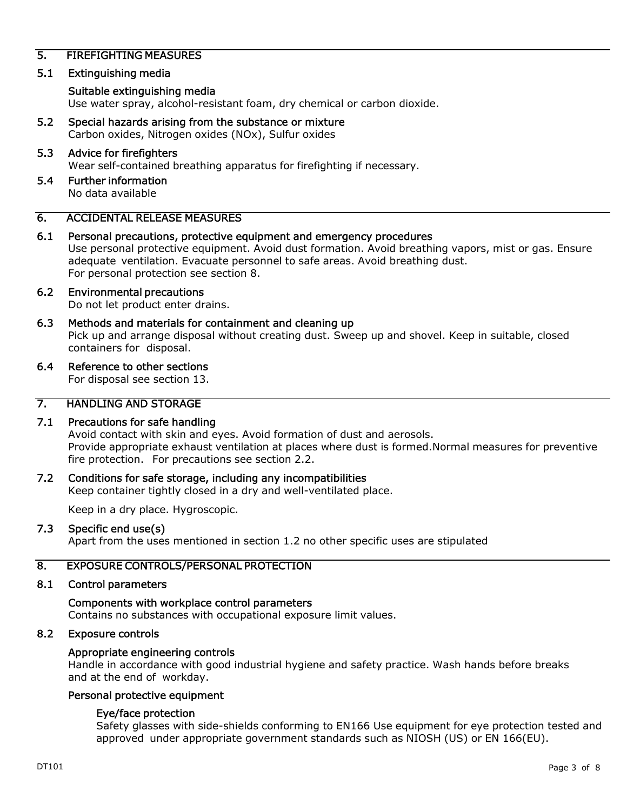## 5. FIREFIGHTING MEASURES

## 5.1 Extinguishing media

#### Suitable extinguishing media

Use water spray, alcohol-resistant foam, dry chemical or carbon dioxide.

5.2 Special hazards arising from the substance or mixture Carbon oxides, Nitrogen oxides (NOx), Sulfur oxides

# 5.3 Advice for firefighters

Wear self-contained breathing apparatus for firefighting if necessary.

5.4 Further information No data available

## 6. ACCIDENTAL RELEASE MEASURES

6.1 Personal precautions, protective equipment and emergency procedures Use personal protective equipment. Avoid dust formation. Avoid breathing vapors, mist or gas. Ensure adequate ventilation. Evacuate personnel to safe areas. Avoid breathing dust. For personal protection see section 8.

# 6.2 Environmental precautions

Do not let product enter drains.

6.3 Methods and materials for containment and cleaning up Pick up and arrange disposal without creating dust. Sweep up and shovel. Keep in suitable, closed containers for disposal.

#### 6.4 Reference to other sections

For disposal see section 13.

## 7. HANDLING AND STORAGE

# 7.1 Precautions for safe handling

Avoid contact with skin and eyes. Avoid formation of dust and aerosols. Provide appropriate exhaust ventilation at places where dust is formed.Normal measures for preventive fire protection. For precautions see section 2.2.

### 7.2 Conditions for safe storage, including any incompatibilities

Keep container tightly closed in a dry and well-ventilated place.

Keep in a dry place. Hygroscopic.

### 7.3 Specific end use(s)

Apart from the uses mentioned in section 1.2 no other specific uses are stipulated

### 8. EXPOSURE CONTROLS/PERSONAL PROTECTION

#### 8.1 Control parameters

Components with workplace control parameters Contains no substances with occupational exposure limit values.

#### 8.2 Exposure controls

#### Appropriate engineering controls

Handle in accordance with good industrial hygiene and safety practice. Wash hands before breaks and at the end of workday.

#### Personal protective equipment

### Eye/face protection

Safety glasses with side-shields conforming to EN166 Use equipment for eye protection tested and approved under appropriate government standards such as NIOSH (US) or EN 166(EU).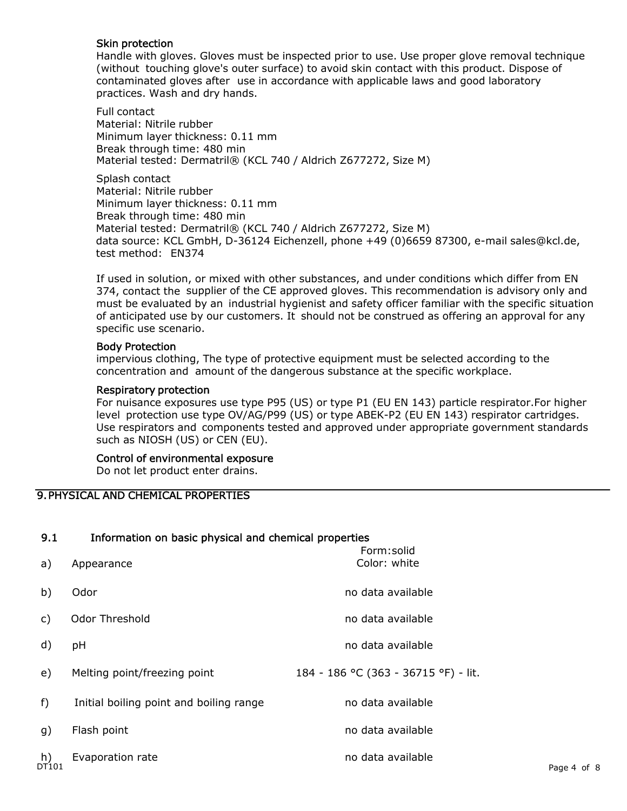## Skin protection

Handle with gloves. Gloves must be inspected prior to use. Use proper glove removal technique (without touching glove's outer surface) to avoid skin contact with this product. Dispose of contaminated gloves after use in accordance with applicable laws and good laboratory practices. Wash and dry hands.

Full contact Material: Nitrile rubber Minimum layer thickness: 0.11 mm Break through time: 480 min Material tested: Dermatril® (KCL 740 / Aldrich Z677272, Size M)

Splash contact Material: Nitrile rubber Minimum layer thickness: 0.11 mm Break through time: 480 min Material tested: Dermatril® (KCL 740 / Aldrich Z677272, Size M) data source: KCL GmbH, D-36124 Eichenzell, phone +49 (0)6659 87300, e-mail sales@kcl.de, test method: EN374

If used in solution, or mixed with other substances, and under conditions which differ from EN 374, contact the supplier of the CE approved gloves. This recommendation is advisory only and must be evaluated by an industrial hygienist and safety officer familiar with the specific situation of anticipated use by our customers. It should not be construed as offering an approval for any specific use scenario.

## Body Protection

impervious clothing, The type of protective equipment must be selected according to the concentration and amount of the dangerous substance at the specific workplace.

### Respiratory protection

For nuisance exposures use type P95 (US) or type P1 (EU EN 143) particle respirator.For higher level protection use type OV/AG/P99 (US) or type ABEK-P2 (EU EN 143) respirator cartridges. Use respirators and components tested and approved under appropriate government standards such as NIOSH (US) or CEN (EU).

## Control of environmental exposure

Do not let product enter drains.

# 9.PHYSICAL AND CHEMICAL PROPERTIES

# 9.1 Information on basic physical and chemical properties

| b)<br>no data available<br>Odor<br><b>Odor Threshold</b><br>no data available<br>C)<br>d)<br>no data available<br>pH<br>184 - 186 °C (363 - 36715 °F) - lit.<br>Melting point/freezing point<br>e)<br>$f$ )<br>no data available<br>Initial boiling point and boiling range<br>no data available<br>Flash point<br>g)<br>no data available<br>h)<br><sup>DT101</sup><br>Evaporation rate | a) | Appearance | Form:solid<br>Color: white |             |
|------------------------------------------------------------------------------------------------------------------------------------------------------------------------------------------------------------------------------------------------------------------------------------------------------------------------------------------------------------------------------------------|----|------------|----------------------------|-------------|
|                                                                                                                                                                                                                                                                                                                                                                                          |    |            |                            |             |
|                                                                                                                                                                                                                                                                                                                                                                                          |    |            |                            |             |
|                                                                                                                                                                                                                                                                                                                                                                                          |    |            |                            |             |
|                                                                                                                                                                                                                                                                                                                                                                                          |    |            |                            |             |
|                                                                                                                                                                                                                                                                                                                                                                                          |    |            |                            |             |
|                                                                                                                                                                                                                                                                                                                                                                                          |    |            |                            |             |
|                                                                                                                                                                                                                                                                                                                                                                                          |    |            |                            | Page 4 of 8 |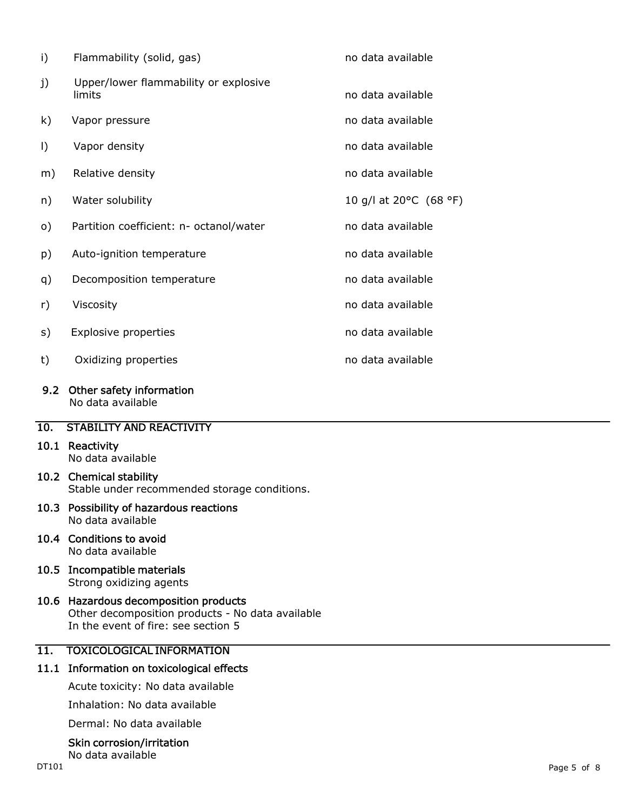| i)      | Flammability (solid, gas)                       | no data available      |
|---------|-------------------------------------------------|------------------------|
| j)      | Upper/lower flammability or explosive<br>limits | no data available      |
| k)      | Vapor pressure                                  | no data available      |
| $\vert$ | Vapor density                                   | no data available      |
| m)      | Relative density                                | no data available      |
| n)      | Water solubility                                | 10 g/l at 20°C (68 °F) |
| o)      | Partition coefficient: n- octanol/water         | no data available      |
| p)      | Auto-ignition temperature                       | no data available      |
| q)      | Decomposition temperature                       | no data available      |
| r)      | Viscosity                                       | no data available      |
| s)      | <b>Explosive properties</b>                     | no data available      |
| t)      | Oxidizing properties                            | no data available      |
| 9.2     | Other safety information<br>No data available   |                        |

## 10. STABILITY AND REACTIVITY

# 10.1 Reactivity

No data available

## 10.2 Chemical stability Stable under recommended storage conditions.

#### 10.3 Possibility of hazardous reactions No data available

### 10.4 Conditions to avoid No data available

10.5 Incompatible materials Strong oxidizing agents

### 10.6 Hazardous decomposition products Other decomposition products - No data available In the event of fire: see section 5

# 11. TOXICOLOGICAL INFORMATION

# 11.1 Information on toxicological effects

Acute toxicity: No data available

Inhalation: No data available

Dermal: No data available

# Skin corrosion/irritation

No data available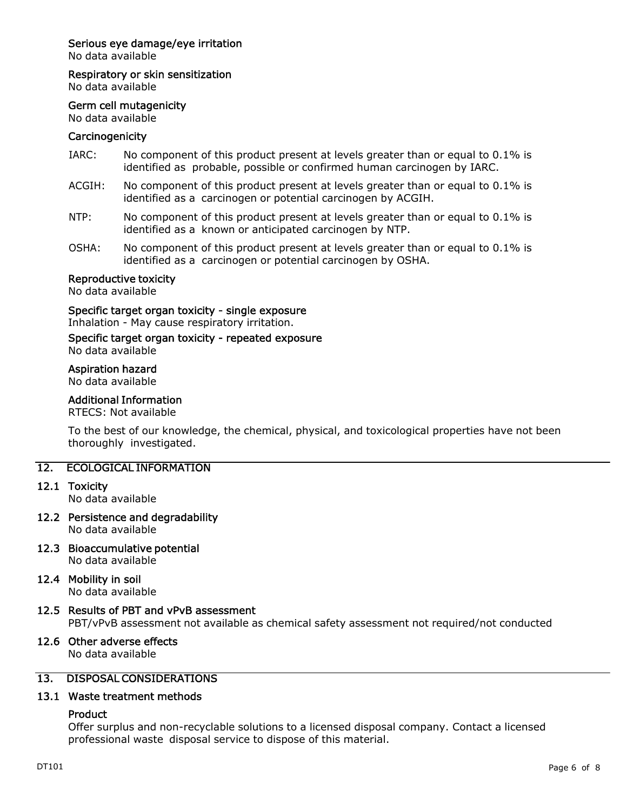# Serious eye damage/eye irritation

No data available

Respiratory or skin sensitization

No data available

#### Germ cell mutagenicity

No data available

### **Carcinogenicity**

- IARC: No component of this product present at levels greater than or equal to 0.1% is identified as probable, possible or confirmed human carcinogen by IARC.
- ACGIH: No component of this product present at levels greater than or equal to 0.1% is identified as a carcinogen or potential carcinogen by ACGIH.
- NTP: No component of this product present at levels greater than or equal to 0.1% is identified as a known or anticipated carcinogen by NTP.
- OSHA: No component of this product present at levels greater than or equal to 0.1% is identified as a carcinogen or potential carcinogen by OSHA.

#### Reproductive toxicity

No data available

Specific target organ toxicity - single exposure

Inhalation - May cause respiratory irritation.

#### Specific target organ toxicity - repeated exposure No data available

#### Aspiration hazard

No data available

# Additional Information

RTECS: Not available

To the best of our knowledge, the chemical, physical, and toxicological properties have not been thoroughly investigated.

## 12. ECOLOGICAL INFORMATION

12.1 Toxicity

No data available

12.2 Persistence and degradability

No data available

12.3 Bioaccumulative potential No data available

# 12.4 Mobility in soil

No data available

### 12.5 Results of PBT and vPvB assessment

PBT/vPvB assessment not available as chemical safety assessment not required/not conducted

# 12.6 Other adverse effects

No data available

# 13. DISPOSAL CONSIDERATIONS

### 13.1 Waste treatment methods

### Product

Offer surplus and non-recyclable solutions to a licensed disposal company. Contact a licensed professional waste disposal service to dispose of this material.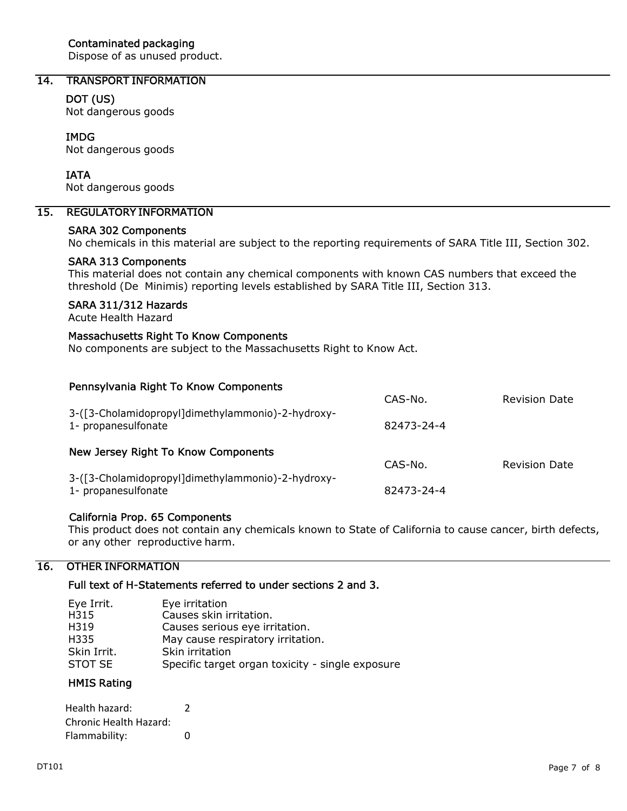## Contaminated packaging

Dispose of as unused product.

# 14. TRANSPORT INFORMATION

### DOT (US)

Not dangerous goods

### IMDG

Not dangerous goods

#### IATA

Not dangerous goods

# 15. REGULATORY INFORMATION

### SARA 302 Components

No chemicals in this material are subject to the reporting requirements of SARA Title III, Section 302.

#### SARA 313 Components

This material does not contain any chemical components with known CAS numbers that exceed the threshold (De Minimis) reporting levels established by SARA Title III, Section 313.

## SARA 311/312 Hazards

Acute Health Hazard

#### Massachusetts Right To Know Components

No components are subject to the Massachusetts Right to Know Act.

| Pennsylvania Right To Know Components                                    |            |                      |
|--------------------------------------------------------------------------|------------|----------------------|
|                                                                          | CAS-No.    | <b>Revision Date</b> |
| 3-([3-Cholamidopropyl]dimethylammonio)-2-hydroxy-<br>1- propanesulfonate | 82473-24-4 |                      |
| New Jersey Right To Know Components                                      |            |                      |
|                                                                          | CAS-No.    | <b>Revision Date</b> |
| 3-([3-Cholamidopropyl]dimethylammonio)-2-hydroxy-<br>1- propanesulfonate | 82473-24-4 |                      |

### California Prop. 65 Components

This product does not contain any chemicals known to State of California to cause cancer, birth defects, or any other reproductive harm.

## 16. OTHER INFORMATION

#### Full text of H-Statements referred to under sections 2 and 3.

| Eye Irrit.  | Eye irritation                                   |
|-------------|--------------------------------------------------|
| H315        | Causes skin irritation.                          |
| H319        | Causes serious eye irritation.                   |
| H335        | May cause respiratory irritation.                |
| Skin Irrit. | Skin irritation                                  |
| STOT SE     | Specific target organ toxicity - single exposure |

## HMIS Rating

| Health hazard:         | 2 |
|------------------------|---|
| Chronic Health Hazard: |   |
| Flammability:          | n |